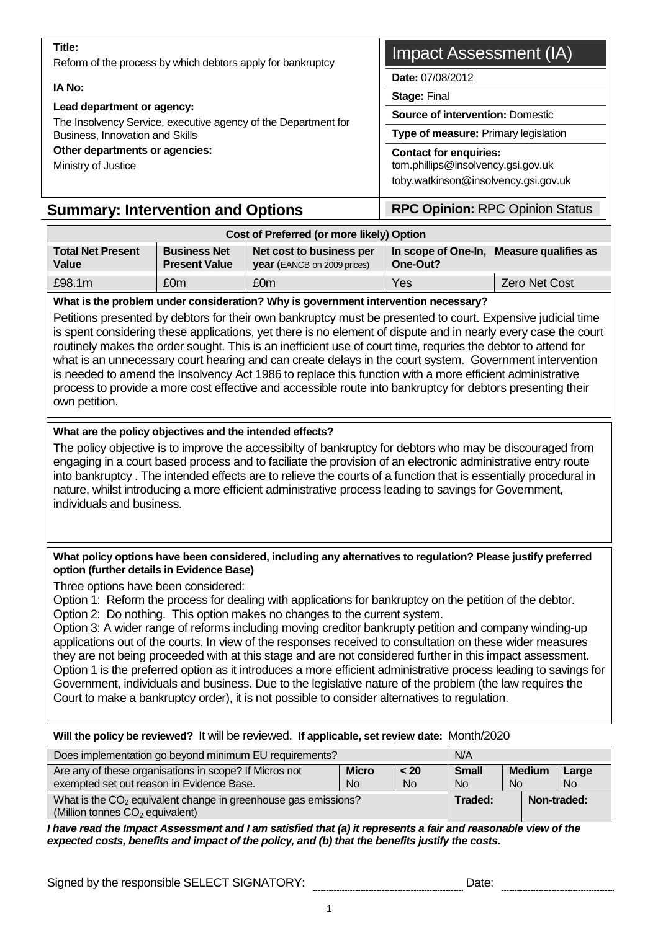Lead department or agency:<br>The Insolvency Service, executive agency of the Department for<br>
Source of intervention: Domestic Business, Innovation and Skills **Type of measure:** Primary legislation

#### Other departments or agencies: Contact for enquiries:

# **Summary: Intervention and Options Fig. 2.1 RPC Opinion: RPC Opinion Status**

# **Title:** Reform of the process by which debtors apply for bankruptcy **Impact Assessment (IA)**

**Date:** 07/08/2012

**IA No:** Stage: Final And Stage: Final And Stage: Final And Stage: Final And Stage: Final And Stage: Final And Stage: Final And Stage: Final And  $\overline{\phantom{a}}$ 

Ministry of Justice tom.phillips@insolvency.gsi.gov.uk toby.watkinson@insolvency.gsi.gov.uk

| Cost of Preferred (or more likely) Option |                                             |                                                                |          |                                          |  |
|-------------------------------------------|---------------------------------------------|----------------------------------------------------------------|----------|------------------------------------------|--|
| <b>Total Net Present</b><br><b>Value</b>  | <b>Business Net</b><br><b>Present Value</b> | Net cost to business per<br><b>year</b> (EANCB on 2009 prices) | One-Out? | In scope of One-In, Measure qualifies as |  |
| £98.1m                                    | £0m                                         | £0m                                                            | Yes      | <b>Zero Net Cost</b>                     |  |

#### **What is the problem under consideration? Why is government intervention necessary?**

Petitions presented by debtors for their own bankruptcy must be presented to court. Expensive judicial time is spent considering these applications, yet there is no element of dispute and in nearly every case the court routinely makes the order sought. This is an inefficient use of court time, requries the debtor to attend for what is an unnecessary court hearing and can create delays in the court system. Government intervention is needed to amend the Insolvency Act 1986 to replace this function with a more efficient administrative process to provide a more cost effective and accessible route into bankruptcy for debtors presenting their own petition.

#### **What are the policy objectives and the intended effects?**

The policy objective is to improve the accessibilty of bankruptcy for debtors who may be discouraged from engaging in a court based process and to faciliate the provision of an electronic administrative entry route into bankruptcy . The intended effects are to relieve the courts of a function that is essentially procedural in nature, whilst introducing a more efficient administrative process leading to savings for Government, individuals and business.

#### **What policy options have been considered, including any alternatives to regulation? Please justify preferred option (further details in Evidence Base)**

Three options have been considered:

Option 1: Reform the process for dealing with applications for bankruptcy on the petition of the debtor. Option 2: Do nothing. This option makes no changes to the current system.

Option 3: A wider range of reforms including moving creditor bankrupty petition and company winding-up applications out of the courts. In view of the responses received to consultation on these wider measures they are not being proceeded with at this stage and are not considered further in this impact assessment. Option 1 is the preferred option as it introduces a more efficient administrative process leading to savings for Government, individuals and business. Due to the legislative nature of the problem (the law requires the Court to make a bankruptcy order), it is not possible to consider alternatives to regulation.

#### **Will the policy be reviewed?** It will be reviewed. **If applicable, set review date:** Month/2020

| Does implementation go beyond minimum EU requirements?                                                          | N/A                            |                            |              |  |             |
|-----------------------------------------------------------------------------------------------------------------|--------------------------------|----------------------------|--------------|--|-------------|
| Are any of these organisations in scope? If Micros not<br>exempted set out reason in Evidence Base.             | <b>Small</b><br>N <sub>o</sub> | <b>Medium</b><br><b>No</b> | Large<br>No. |  |             |
| What is the $CO2$ equivalent change in greenhouse gas emissions?<br>(Million tonnes CO <sub>2</sub> equivalent) |                                |                            |              |  | Non-traded: |

**I have read the Impact Assessment and I am satisfied that (a) it represents a fair and reasonable view of the expected costs, benefits and impact of the policy, and (b) that the benefits justify the costs.** 

Signed by the responsible SELECT SIGNATORY: \_\_\_\_\_\_\_\_\_\_\_\_\_\_\_\_\_\_\_\_\_\_\_\_\_\_\_\_\_\_\_\_\_Date: \_\_\_\_\_\_\_\_\_\_\_\_\_\_\_\_\_\_\_\_\_\_\_\_\_\_\_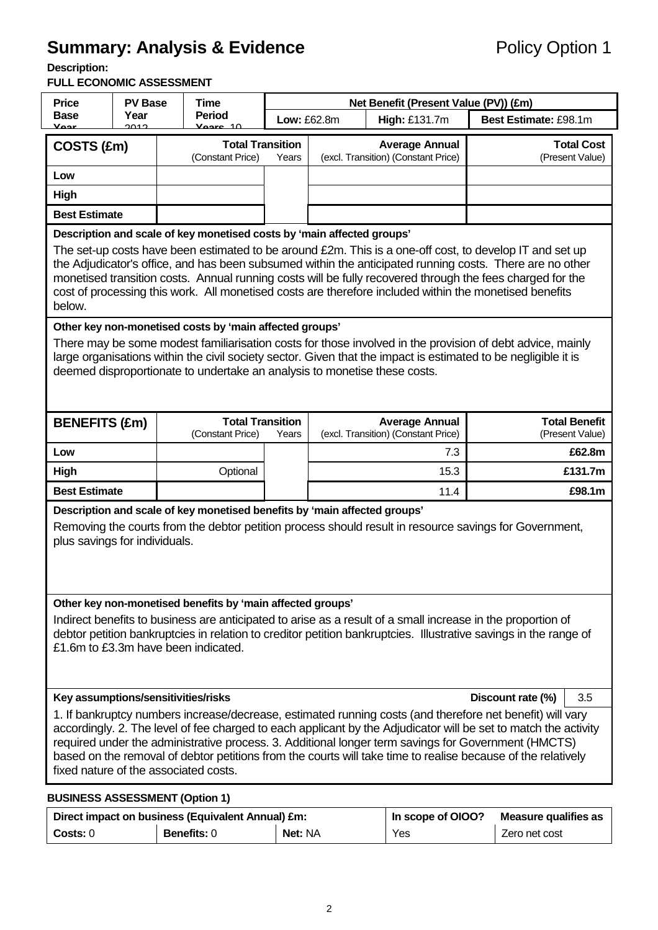# **Summary: Analysis & Evidence Policy Option 1**

**Description:** 

#### **FULL ECONOMIC ASSESSMENT**

| <b>Price</b><br><b>PV Base</b>                                                                                                                                                                                                                                                                                                                                                                                                                                                               |                                                                                                                                                                                                                                                                                                                                                                                                                                            | Time |                                                         |       |                              | Net Benefit (Present Value (PV)) (£m)                        |                       |                                         |  |  |
|----------------------------------------------------------------------------------------------------------------------------------------------------------------------------------------------------------------------------------------------------------------------------------------------------------------------------------------------------------------------------------------------------------------------------------------------------------------------------------------------|--------------------------------------------------------------------------------------------------------------------------------------------------------------------------------------------------------------------------------------------------------------------------------------------------------------------------------------------------------------------------------------------------------------------------------------------|------|---------------------------------------------------------|-------|------------------------------|--------------------------------------------------------------|-----------------------|-----------------------------------------|--|--|
| Base<br>Voor                                                                                                                                                                                                                                                                                                                                                                                                                                                                                 | Year<br>ാവാ                                                                                                                                                                                                                                                                                                                                                                                                                                |      | <b>Period</b><br>$V0$ aro 40                            |       | Low: £62.8m<br>High: £131.7m |                                                              | Best Estimate: £98.1m |                                         |  |  |
| COSTS (£m)                                                                                                                                                                                                                                                                                                                                                                                                                                                                                   |                                                                                                                                                                                                                                                                                                                                                                                                                                            |      | <b>Total Transition</b><br>(Constant Price)             | Years |                              | <b>Average Annual</b><br>(excl. Transition) (Constant Price) |                       | <b>Total Cost</b><br>(Present Value)    |  |  |
| Low                                                                                                                                                                                                                                                                                                                                                                                                                                                                                          |                                                                                                                                                                                                                                                                                                                                                                                                                                            |      |                                                         |       |                              |                                                              |                       |                                         |  |  |
| High                                                                                                                                                                                                                                                                                                                                                                                                                                                                                         |                                                                                                                                                                                                                                                                                                                                                                                                                                            |      |                                                         |       |                              |                                                              |                       |                                         |  |  |
| <b>Best Estimate</b>                                                                                                                                                                                                                                                                                                                                                                                                                                                                         |                                                                                                                                                                                                                                                                                                                                                                                                                                            |      |                                                         |       |                              |                                                              |                       |                                         |  |  |
| Description and scale of key monetised costs by 'main affected groups'                                                                                                                                                                                                                                                                                                                                                                                                                       |                                                                                                                                                                                                                                                                                                                                                                                                                                            |      |                                                         |       |                              |                                                              |                       |                                         |  |  |
| below.                                                                                                                                                                                                                                                                                                                                                                                                                                                                                       | The set-up costs have been estimated to be around £2m. This is a one-off cost, to develop IT and set up<br>the Adjudicator's office, and has been subsumed within the anticipated running costs. There are no other<br>monetised transition costs. Annual running costs will be fully recovered through the fees charged for the<br>cost of processing this work. All monetised costs are therefore included within the monetised benefits |      |                                                         |       |                              |                                                              |                       |                                         |  |  |
|                                                                                                                                                                                                                                                                                                                                                                                                                                                                                              |                                                                                                                                                                                                                                                                                                                                                                                                                                            |      | Other key non-monetised costs by 'main affected groups' |       |                              |                                                              |                       |                                         |  |  |
|                                                                                                                                                                                                                                                                                                                                                                                                                                                                                              | There may be some modest familiarisation costs for those involved in the provision of debt advice, mainly<br>large organisations within the civil society sector. Given that the impact is estimated to be negligible it is<br>deemed disproportionate to undertake an analysis to monetise these costs.                                                                                                                                   |      |                                                         |       |                              |                                                              |                       |                                         |  |  |
| <b>BENEFITS (£m)</b>                                                                                                                                                                                                                                                                                                                                                                                                                                                                         |                                                                                                                                                                                                                                                                                                                                                                                                                                            |      | <b>Total Transition</b><br>(Constant Price)             | Years |                              | <b>Average Annual</b><br>(excl. Transition) (Constant Price) |                       | <b>Total Benefit</b><br>(Present Value) |  |  |
| Low                                                                                                                                                                                                                                                                                                                                                                                                                                                                                          |                                                                                                                                                                                                                                                                                                                                                                                                                                            |      |                                                         |       |                              | 7.3                                                          |                       | £62.8m                                  |  |  |
| <b>High</b>                                                                                                                                                                                                                                                                                                                                                                                                                                                                                  |                                                                                                                                                                                                                                                                                                                                                                                                                                            |      | Optional                                                |       |                              | 15.3                                                         |                       | £131.7m                                 |  |  |
| <b>Best Estimate</b>                                                                                                                                                                                                                                                                                                                                                                                                                                                                         |                                                                                                                                                                                                                                                                                                                                                                                                                                            |      |                                                         |       |                              | 11.4                                                         |                       | £98.1m                                  |  |  |
|                                                                                                                                                                                                                                                                                                                                                                                                                                                                                              | Description and scale of key monetised benefits by 'main affected groups'<br>Removing the courts from the debtor petition process should result in resource savings for Government,<br>plus savings for individuals.                                                                                                                                                                                                                       |      |                                                         |       |                              |                                                              |                       |                                         |  |  |
| Other key non-monetised benefits by 'main affected groups'<br>Indirect benefits to business are anticipated to arise as a result of a small increase in the proportion of<br>debtor petition bankruptcies in relation to creditor petition bankruptcies. Illustrative savings in the range of<br>£1.6m to £3.3m have been indicated.                                                                                                                                                         |                                                                                                                                                                                                                                                                                                                                                                                                                                            |      |                                                         |       |                              |                                                              |                       |                                         |  |  |
|                                                                                                                                                                                                                                                                                                                                                                                                                                                                                              | Key assumptions/sensitivities/risks<br>Discount rate (%)<br>3.5                                                                                                                                                                                                                                                                                                                                                                            |      |                                                         |       |                              |                                                              |                       |                                         |  |  |
| 1. If bankruptcy numbers increase/decrease, estimated running costs (and therefore net benefit) will vary<br>accordingly. 2. The level of fee charged to each applicant by the Adjudicator will be set to match the activity<br>required under the administrative process. 3. Additional longer term savings for Government (HMCTS)<br>based on the removal of debtor petitions from the courts will take time to realise because of the relatively<br>fixed nature of the associated costs. |                                                                                                                                                                                                                                                                                                                                                                                                                                            |      |                                                         |       |                              |                                                              |                       |                                         |  |  |
| <b>BUSINESS ASSESSMENT (Option 1)</b>                                                                                                                                                                                                                                                                                                                                                                                                                                                        |                                                                                                                                                                                                                                                                                                                                                                                                                                            |      |                                                         |       |                              |                                                              |                       |                                         |  |  |

Direct impact on business (Equivalent Annual) £m: **In scope of OIOO?** Measure qualifies as **Costs: 0 Benefits: 0 Net: NA** Yes Zero net cost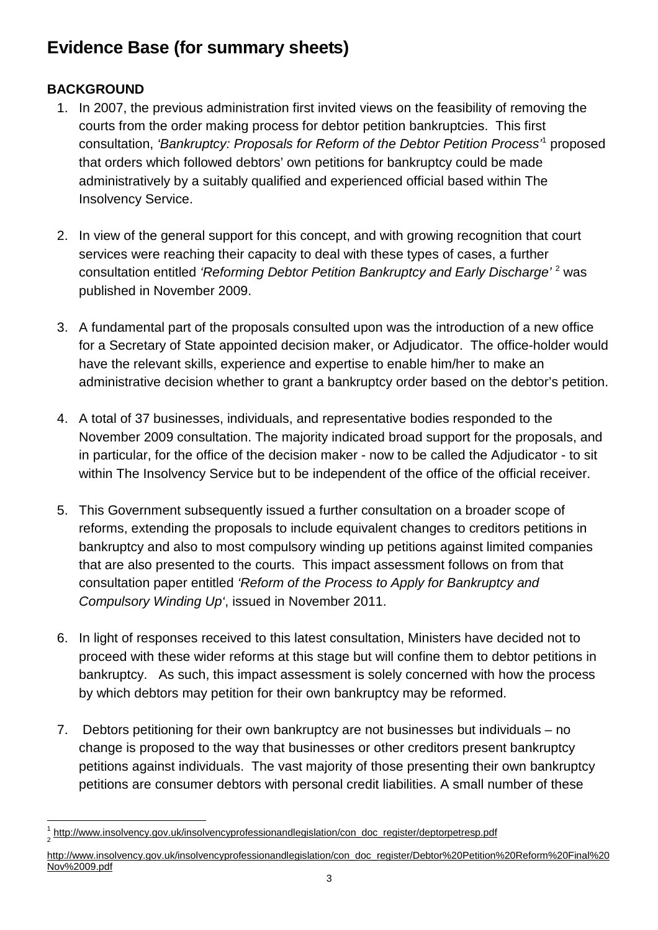# **Evidence Base (for summary sheets)**

# **BACKGROUND**

- 1. In 2007, the previous administration first invited views on the feasibility of removing the courts from the order making process for debtor petition bankruptcies. This first consultation, 'Bankruptcy: Proposals for Reform of the Debtor Petition Process<sup>1</sup> proposed that orders which followed debtors' own petitions for bankruptcy could be made administratively by a suitably qualified and experienced official based within The Insolvency Service.
- 2. In view of the general support for this concept, and with growing recognition that court services were reaching their capacity to deal with these types of cases, a further consultation entitled 'Reforming Debtor Petition Bankruptcy and Early Discharge'<sup>2</sup> was published in November 2009.
- 3. A fundamental part of the proposals consulted upon was the introduction of a new office for a Secretary of State appointed decision maker, or Adjudicator. The office-holder would have the relevant skills, experience and expertise to enable him/her to make an administrative decision whether to grant a bankruptcy order based on the debtor's petition.
- 4. A total of 37 businesses, individuals, and representative bodies responded to the November 2009 consultation. The majority indicated broad support for the proposals, and in particular, for the office of the decision maker - now to be called the Adjudicator - to sit within The Insolvency Service but to be independent of the office of the official receiver.
- 5. This Government subsequently issued a further consultation on a broader scope of reforms, extending the proposals to include equivalent changes to creditors petitions in bankruptcy and also to most compulsory winding up petitions against limited companies that are also presented to the courts. This impact assessment follows on from that consultation paper entitled 'Reform of the Process to Apply for Bankruptcy and Compulsory Winding Up', issued in November 2011.
- 6. In light of responses received to this latest consultation, Ministers have decided not to proceed with these wider reforms at this stage but will confine them to debtor petitions in bankruptcy. As such, this impact assessment is solely concerned with how the process by which debtors may petition for their own bankruptcy may be reformed.
- 7. Debtors petitioning for their own bankruptcy are not businesses but individuals no change is proposed to the way that businesses or other creditors present bankruptcy petitions against individuals. The vast majority of those presenting their own bankruptcy petitions are consumer debtors with personal credit liabilities. A small number of these

l 1 http://www.insolvency.gov.uk/insolvencyprofessionandlegislation/con\_doc\_register/deptorpetresp.pdf 2

http://www.insolvency.gov.uk/insolvencyprofessionandlegislation/con\_doc\_register/Debtor%20Petition%20Reform%20Final%20 Nov%2009.pdf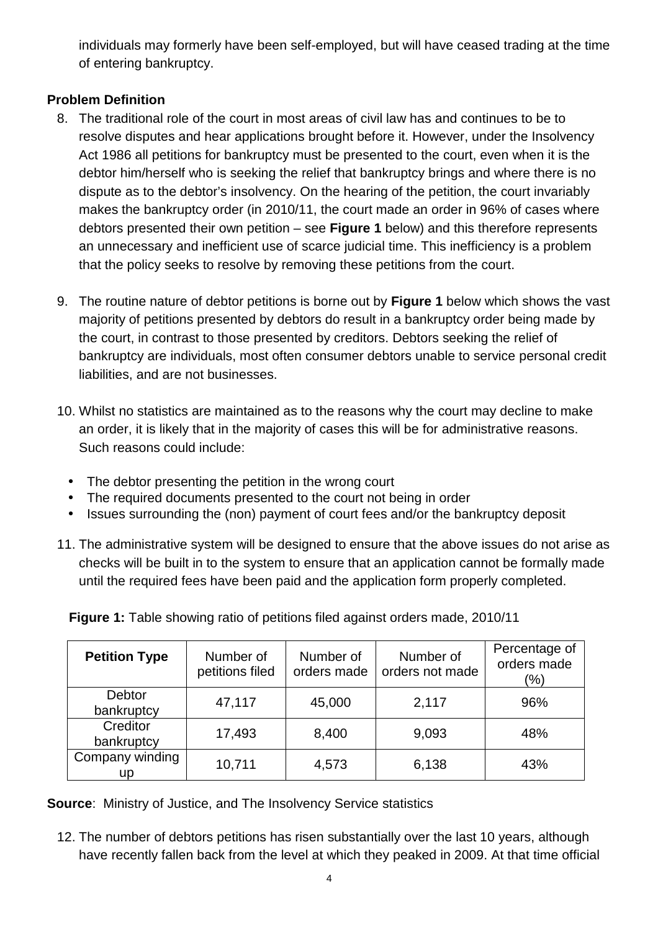individuals may formerly have been self-employed, but will have ceased trading at the time of entering bankruptcy.

## **Problem Definition**

- 8. The traditional role of the court in most areas of civil law has and continues to be to resolve disputes and hear applications brought before it. However, under the Insolvency Act 1986 all petitions for bankruptcy must be presented to the court, even when it is the debtor him/herself who is seeking the relief that bankruptcy brings and where there is no dispute as to the debtor's insolvency. On the hearing of the petition, the court invariably makes the bankruptcy order (in 2010/11, the court made an order in 96% of cases where debtors presented their own petition – see **Figure 1** below) and this therefore represents an unnecessary and inefficient use of scarce judicial time. This inefficiency is a problem that the policy seeks to resolve by removing these petitions from the court.
- 9. The routine nature of debtor petitions is borne out by **Figure 1** below which shows the vast majority of petitions presented by debtors do result in a bankruptcy order being made by the court, in contrast to those presented by creditors. Debtors seeking the relief of bankruptcy are individuals, most often consumer debtors unable to service personal credit liabilities, and are not businesses.
- 10. Whilst no statistics are maintained as to the reasons why the court may decline to make an order, it is likely that in the majority of cases this will be for administrative reasons. Such reasons could include:
	- The debtor presenting the petition in the wrong court
	- The required documents presented to the court not being in order
	- Issues surrounding the (non) payment of court fees and/or the bankruptcy deposit
- 11. The administrative system will be designed to ensure that the above issues do not arise as checks will be built in to the system to ensure that an application cannot be formally made until the required fees have been paid and the application form properly completed.

**Figure 1:** Table showing ratio of petitions filed against orders made, 2010/11

| <b>Petition Type</b>   | Number of<br>petitions filed | Number of<br>orders made | Number of<br>orders not made | Percentage of<br>orders made<br>$\frac{9}{6}$ |
|------------------------|------------------------------|--------------------------|------------------------------|-----------------------------------------------|
| Debtor<br>bankruptcy   | 47,117                       | 45,000                   | 2,117                        | 96%                                           |
| Creditor<br>bankruptcy | 17,493                       | 8,400                    | 9,093                        | 48%                                           |
| Company winding<br>up  | 10,711                       | 4,573                    | 6,138                        | 43%                                           |

**Source:** Ministry of Justice, and The Insolvency Service statistics

12. The number of debtors petitions has risen substantially over the last 10 years, although have recently fallen back from the level at which they peaked in 2009. At that time official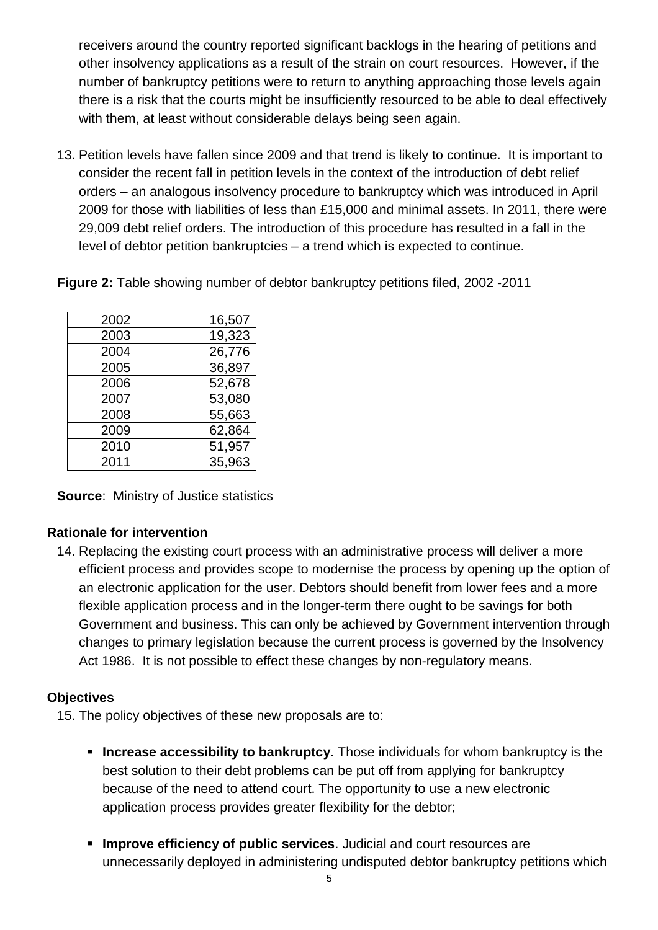receivers around the country reported significant backlogs in the hearing of petitions and other insolvency applications as a result of the strain on court resources. However, if the number of bankruptcy petitions were to return to anything approaching those levels again there is a risk that the courts might be insufficiently resourced to be able to deal effectively with them, at least without considerable delays being seen again.

13. Petition levels have fallen since 2009 and that trend is likely to continue. It is important to consider the recent fall in petition levels in the context of the introduction of debt relief orders – an analogous insolvency procedure to bankruptcy which was introduced in April 2009 for those with liabilities of less than £15,000 and minimal assets. In 2011, there were 29,009 debt relief orders. The introduction of this procedure has resulted in a fall in the level of debtor petition bankruptcies – a trend which is expected to continue.

**Figure 2:** Table showing number of debtor bankruptcy petitions filed, 2002 -2011

| 2002 | 16,507 |
|------|--------|
| 2003 | 19,323 |
| 2004 | 26,776 |
| 2005 | 36,897 |
| 2006 | 52,678 |
| 2007 | 53,080 |
| 2008 | 55,663 |
| 2009 | 62,864 |
| 2010 | 51,957 |
| 2011 | 35,963 |

**Source**: Ministry of Justice statistics

# **Rationale for intervention**

14. Replacing the existing court process with an administrative process will deliver a more efficient process and provides scope to modernise the process by opening up the option of an electronic application for the user. Debtors should benefit from lower fees and a more flexible application process and in the longer-term there ought to be savings for both Government and business. This can only be achieved by Government intervention through changes to primary legislation because the current process is governed by the Insolvency Act 1986. It is not possible to effect these changes by non-regulatory means.

#### **Objectives**

15. The policy objectives of these new proposals are to:

- **Increase accessibility to bankruptcy**. Those individuals for whom bankruptcy is the best solution to their debt problems can be put off from applying for bankruptcy because of the need to attend court. The opportunity to use a new electronic application process provides greater flexibility for the debtor;
- **Improve efficiency of public services**. Judicial and court resources are unnecessarily deployed in administering undisputed debtor bankruptcy petitions which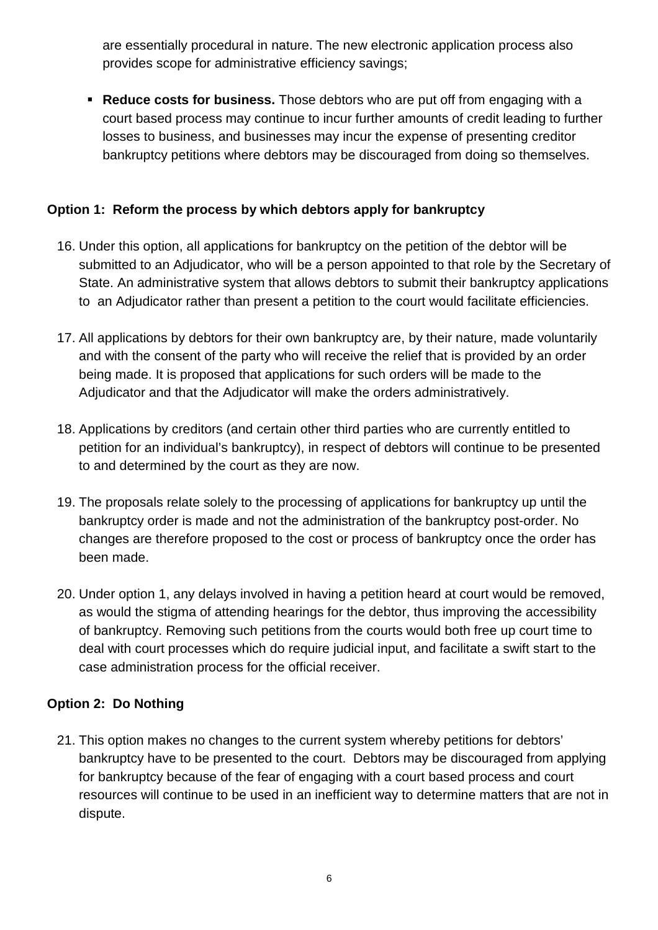are essentially procedural in nature. The new electronic application process also provides scope for administrative efficiency savings;

 **Reduce costs for business.** Those debtors who are put off from engaging with a court based process may continue to incur further amounts of credit leading to further losses to business, and businesses may incur the expense of presenting creditor bankruptcy petitions where debtors may be discouraged from doing so themselves.

# **Option 1: Reform the process by which debtors apply for bankruptcy**

- 16. Under this option, all applications for bankruptcy on the petition of the debtor will be submitted to an Adjudicator, who will be a person appointed to that role by the Secretary of State. An administrative system that allows debtors to submit their bankruptcy applications to an Adjudicator rather than present a petition to the court would facilitate efficiencies.
- 17. All applications by debtors for their own bankruptcy are, by their nature, made voluntarily and with the consent of the party who will receive the relief that is provided by an order being made. It is proposed that applications for such orders will be made to the Adjudicator and that the Adjudicator will make the orders administratively.
- 18. Applications by creditors (and certain other third parties who are currently entitled to petition for an individual's bankruptcy), in respect of debtors will continue to be presented to and determined by the court as they are now.
- 19. The proposals relate solely to the processing of applications for bankruptcy up until the bankruptcy order is made and not the administration of the bankruptcy post-order. No changes are therefore proposed to the cost or process of bankruptcy once the order has been made.
- 20. Under option 1, any delays involved in having a petition heard at court would be removed, as would the stigma of attending hearings for the debtor, thus improving the accessibility of bankruptcy. Removing such petitions from the courts would both free up court time to deal with court processes which do require judicial input, and facilitate a swift start to the case administration process for the official receiver.

# **Option 2: Do Nothing**

21. This option makes no changes to the current system whereby petitions for debtors' bankruptcy have to be presented to the court. Debtors may be discouraged from applying for bankruptcy because of the fear of engaging with a court based process and court resources will continue to be used in an inefficient way to determine matters that are not in dispute.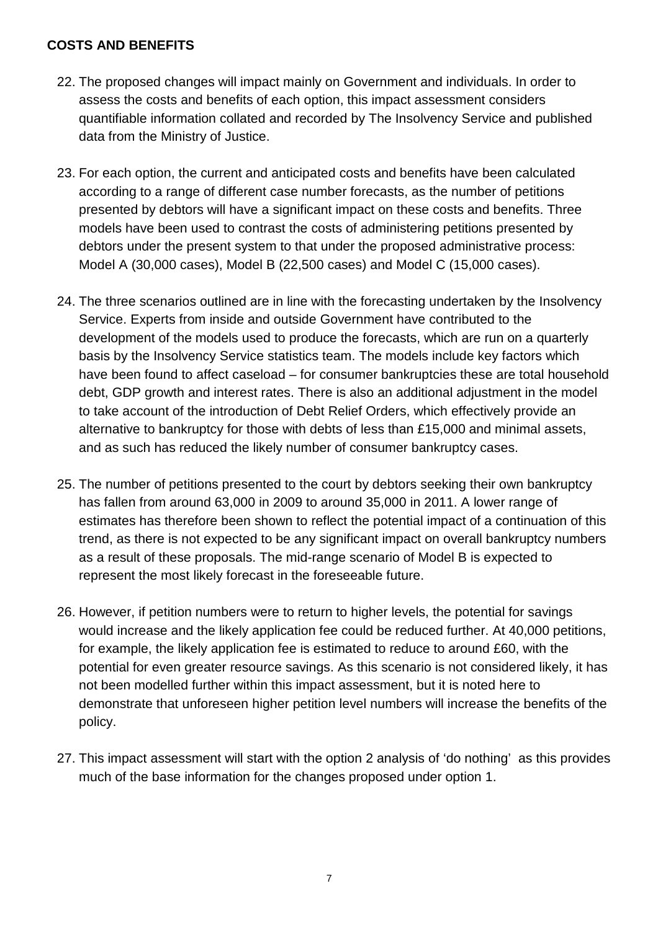#### **COSTS AND BENEFITS**

- 22. The proposed changes will impact mainly on Government and individuals. In order to assess the costs and benefits of each option, this impact assessment considers quantifiable information collated and recorded by The Insolvency Service and published data from the Ministry of Justice.
- 23. For each option, the current and anticipated costs and benefits have been calculated according to a range of different case number forecasts, as the number of petitions presented by debtors will have a significant impact on these costs and benefits. Three models have been used to contrast the costs of administering petitions presented by debtors under the present system to that under the proposed administrative process: Model A (30,000 cases), Model B (22,500 cases) and Model C (15,000 cases).
- 24. The three scenarios outlined are in line with the forecasting undertaken by the Insolvency Service. Experts from inside and outside Government have contributed to the development of the models used to produce the forecasts, which are run on a quarterly basis by the Insolvency Service statistics team. The models include key factors which have been found to affect caseload – for consumer bankruptcies these are total household debt, GDP growth and interest rates. There is also an additional adjustment in the model to take account of the introduction of Debt Relief Orders, which effectively provide an alternative to bankruptcy for those with debts of less than £15,000 and minimal assets, and as such has reduced the likely number of consumer bankruptcy cases.
- 25. The number of petitions presented to the court by debtors seeking their own bankruptcy has fallen from around 63,000 in 2009 to around 35,000 in 2011. A lower range of estimates has therefore been shown to reflect the potential impact of a continuation of this trend, as there is not expected to be any significant impact on overall bankruptcy numbers as a result of these proposals. The mid-range scenario of Model B is expected to represent the most likely forecast in the foreseeable future.
- 26. However, if petition numbers were to return to higher levels, the potential for savings would increase and the likely application fee could be reduced further. At 40,000 petitions, for example, the likely application fee is estimated to reduce to around £60, with the potential for even greater resource savings. As this scenario is not considered likely, it has not been modelled further within this impact assessment, but it is noted here to demonstrate that unforeseen higher petition level numbers will increase the benefits of the policy.
- 27. This impact assessment will start with the option 2 analysis of 'do nothing' as this provides much of the base information for the changes proposed under option 1.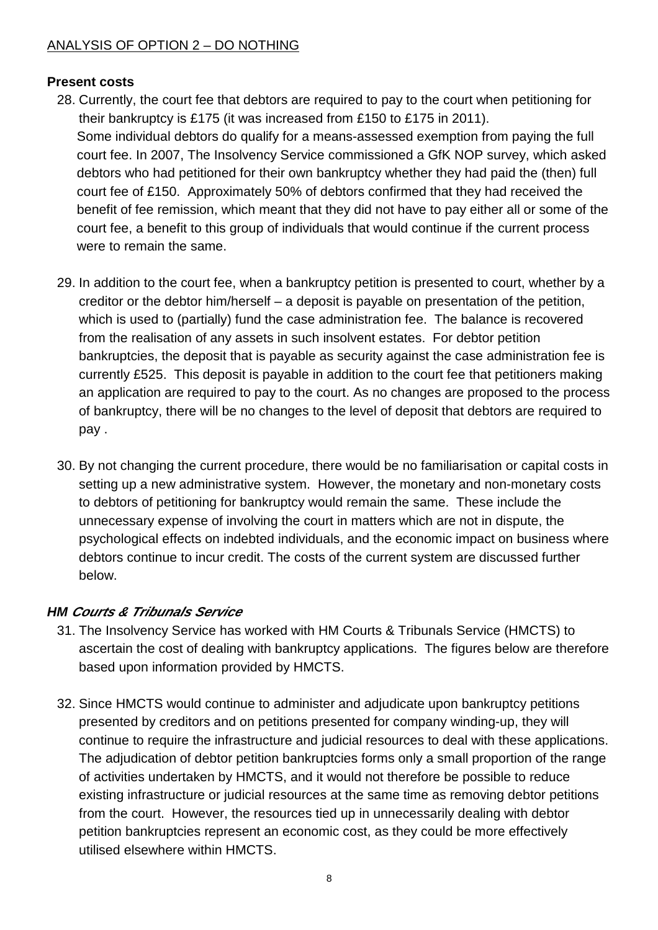## ANALYSIS OF OPTION 2 – DO NOTHING

#### **Present costs**

- 28. Currently, the court fee that debtors are required to pay to the court when petitioning for their bankruptcy is £175 (it was increased from £150 to £175 in 2011). Some individual debtors do qualify for a means-assessed exemption from paying the full court fee. In 2007, The Insolvency Service commissioned a GfK NOP survey, which asked debtors who had petitioned for their own bankruptcy whether they had paid the (then) full court fee of £150. Approximately 50% of debtors confirmed that they had received the benefit of fee remission, which meant that they did not have to pay either all or some of the court fee, a benefit to this group of individuals that would continue if the current process were to remain the same.
- 29. In addition to the court fee, when a bankruptcy petition is presented to court, whether by a creditor or the debtor him/herself – a deposit is payable on presentation of the petition, which is used to (partially) fund the case administration fee. The balance is recovered from the realisation of any assets in such insolvent estates. For debtor petition bankruptcies, the deposit that is payable as security against the case administration fee is currently £525. This deposit is payable in addition to the court fee that petitioners making an application are required to pay to the court. As no changes are proposed to the process of bankruptcy, there will be no changes to the level of deposit that debtors are required to pay .
- 30. By not changing the current procedure, there would be no familiarisation or capital costs in setting up a new administrative system. However, the monetary and non-monetary costs to debtors of petitioning for bankruptcy would remain the same. These include the unnecessary expense of involving the court in matters which are not in dispute, the psychological effects on indebted individuals, and the economic impact on business where debtors continue to incur credit. The costs of the current system are discussed further below.

# **HM Courts & Tribunals Service**

- 31. The Insolvency Service has worked with HM Courts & Tribunals Service (HMCTS) to ascertain the cost of dealing with bankruptcy applications. The figures below are therefore based upon information provided by HMCTS.
- 32. Since HMCTS would continue to administer and adjudicate upon bankruptcy petitions presented by creditors and on petitions presented for company winding-up, they will continue to require the infrastructure and judicial resources to deal with these applications. The adjudication of debtor petition bankruptcies forms only a small proportion of the range of activities undertaken by HMCTS, and it would not therefore be possible to reduce existing infrastructure or judicial resources at the same time as removing debtor petitions from the court. However, the resources tied up in unnecessarily dealing with debtor petition bankruptcies represent an economic cost, as they could be more effectively utilised elsewhere within HMCTS.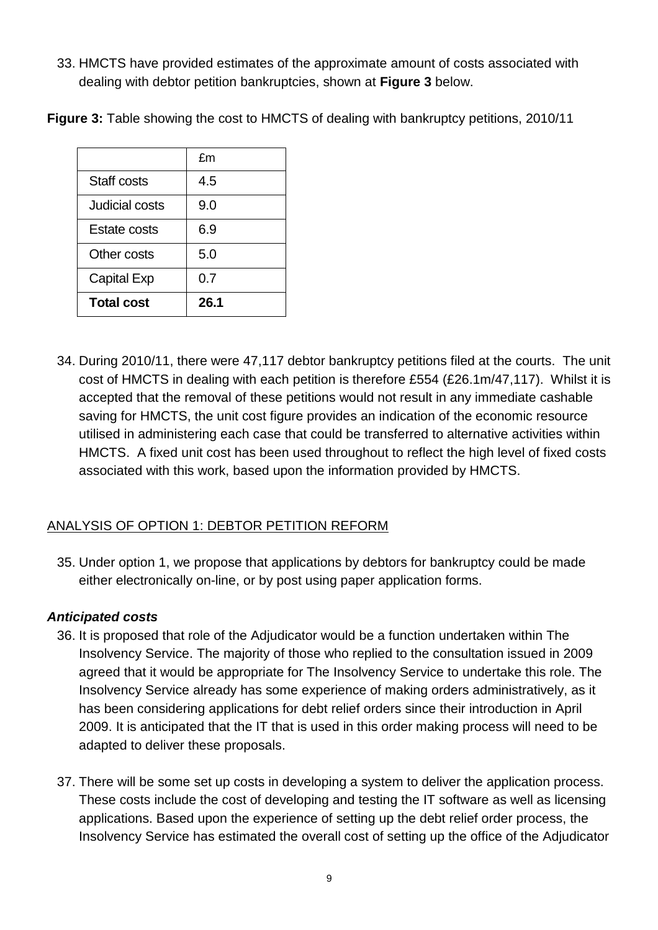33. HMCTS have provided estimates of the approximate amount of costs associated with dealing with debtor petition bankruptcies, shown at **Figure 3** below.

|                     | fm   |
|---------------------|------|
| Staff costs         | 4.5  |
| Judicial costs      | 9.0  |
| <b>Estate costs</b> | 6.9  |
| Other costs         | 5.0  |
| <b>Capital Exp</b>  | 0.7  |
| <b>Total cost</b>   | 26.1 |

**Figure 3:** Table showing the cost to HMCTS of dealing with bankruptcy petitions, 2010/11

34. During 2010/11, there were 47,117 debtor bankruptcy petitions filed at the courts. The unit cost of HMCTS in dealing with each petition is therefore £554 (£26.1m/47,117). Whilst it is accepted that the removal of these petitions would not result in any immediate cashable saving for HMCTS, the unit cost figure provides an indication of the economic resource utilised in administering each case that could be transferred to alternative activities within HMCTS. A fixed unit cost has been used throughout to reflect the high level of fixed costs associated with this work, based upon the information provided by HMCTS.

# ANALYSIS OF OPTION 1: DEBTOR PETITION REFORM

35. Under option 1, we propose that applications by debtors for bankruptcy could be made either electronically on-line, or by post using paper application forms.

#### **Anticipated costs**

- 36. It is proposed that role of the Adjudicator would be a function undertaken within The Insolvency Service. The majority of those who replied to the consultation issued in 2009 agreed that it would be appropriate for The Insolvency Service to undertake this role. The Insolvency Service already has some experience of making orders administratively, as it has been considering applications for debt relief orders since their introduction in April 2009. It is anticipated that the IT that is used in this order making process will need to be adapted to deliver these proposals.
- 37. There will be some set up costs in developing a system to deliver the application process. These costs include the cost of developing and testing the IT software as well as licensing applications. Based upon the experience of setting up the debt relief order process, the Insolvency Service has estimated the overall cost of setting up the office of the Adjudicator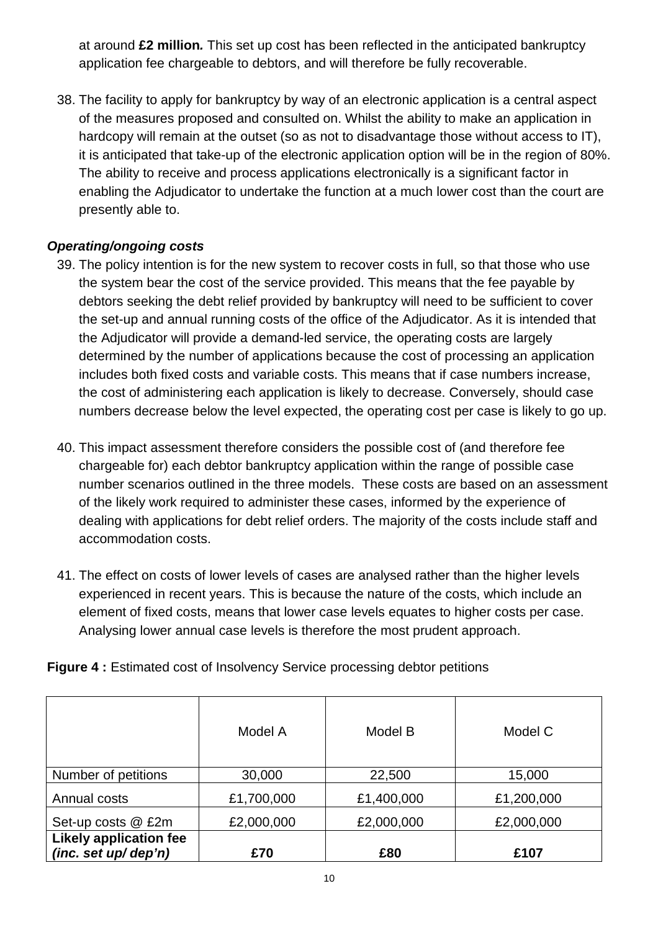at around **£2 million.** This set up cost has been reflected in the anticipated bankruptcy application fee chargeable to debtors, and will therefore be fully recoverable.

38. The facility to apply for bankruptcy by way of an electronic application is a central aspect of the measures proposed and consulted on. Whilst the ability to make an application in hardcopy will remain at the outset (so as not to disadvantage those without access to IT), it is anticipated that take-up of the electronic application option will be in the region of 80%. The ability to receive and process applications electronically is a significant factor in enabling the Adjudicator to undertake the function at a much lower cost than the court are presently able to.

#### **Operating/ongoing costs**

- 39. The policy intention is for the new system to recover costs in full, so that those who use the system bear the cost of the service provided. This means that the fee payable by debtors seeking the debt relief provided by bankruptcy will need to be sufficient to cover the set-up and annual running costs of the office of the Adjudicator. As it is intended that the Adjudicator will provide a demand-led service, the operating costs are largely determined by the number of applications because the cost of processing an application includes both fixed costs and variable costs. This means that if case numbers increase, the cost of administering each application is likely to decrease. Conversely, should case numbers decrease below the level expected, the operating cost per case is likely to go up.
- 40. This impact assessment therefore considers the possible cost of (and therefore fee chargeable for) each debtor bankruptcy application within the range of possible case number scenarios outlined in the three models. These costs are based on an assessment of the likely work required to administer these cases, informed by the experience of dealing with applications for debt relief orders. The majority of the costs include staff and accommodation costs.
- 41. The effect on costs of lower levels of cases are analysed rather than the higher levels experienced in recent years. This is because the nature of the costs, which include an element of fixed costs, means that lower case levels equates to higher costs per case. Analysing lower annual case levels is therefore the most prudent approach.

**Figure 4 :** Estimated cost of Insolvency Service processing debtor petitions

|                                                         | Model A    | Model B    | Model C    |
|---------------------------------------------------------|------------|------------|------------|
| Number of petitions                                     | 30,000     | 22,500     | 15,000     |
| Annual costs                                            | £1,700,000 | £1,400,000 | £1,200,000 |
| Set-up costs @ £2m                                      | £2,000,000 | £2,000,000 | £2,000,000 |
| <b>Likely application fee</b><br>(inc. set $up/$ dep'n) | £70        | £80        | £107       |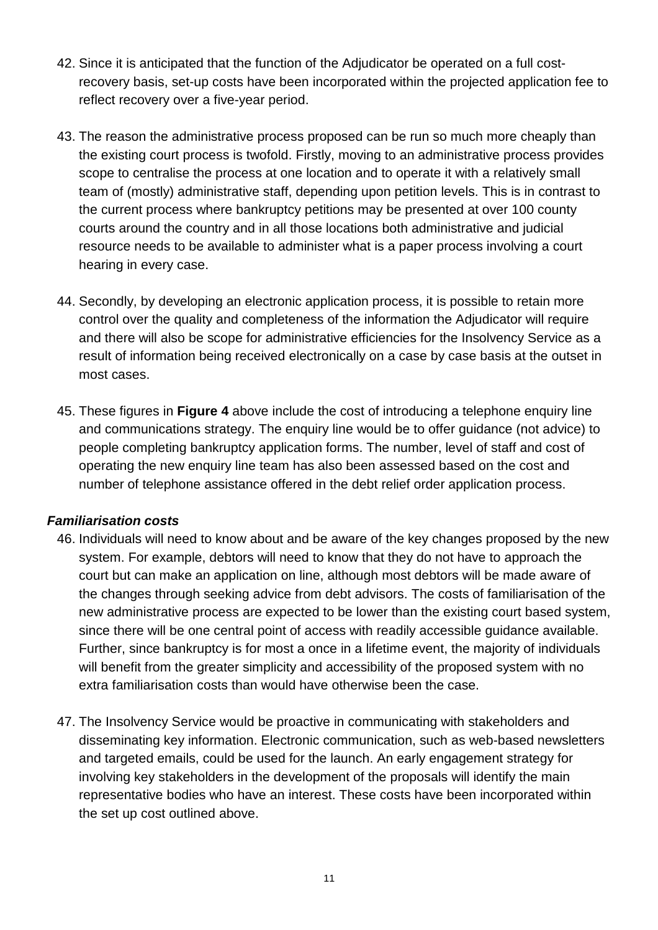- 42. Since it is anticipated that the function of the Adjudicator be operated on a full costrecovery basis, set-up costs have been incorporated within the projected application fee to reflect recovery over a five-year period.
- 43. The reason the administrative process proposed can be run so much more cheaply than the existing court process is twofold. Firstly, moving to an administrative process provides scope to centralise the process at one location and to operate it with a relatively small team of (mostly) administrative staff, depending upon petition levels. This is in contrast to the current process where bankruptcy petitions may be presented at over 100 county courts around the country and in all those locations both administrative and judicial resource needs to be available to administer what is a paper process involving a court hearing in every case.
- 44. Secondly, by developing an electronic application process, it is possible to retain more control over the quality and completeness of the information the Adjudicator will require and there will also be scope for administrative efficiencies for the Insolvency Service as a result of information being received electronically on a case by case basis at the outset in most cases.
- 45. These figures in **Figure 4** above include the cost of introducing a telephone enquiry line and communications strategy. The enquiry line would be to offer guidance (not advice) to people completing bankruptcy application forms. The number, level of staff and cost of operating the new enquiry line team has also been assessed based on the cost and number of telephone assistance offered in the debt relief order application process.

# **Familiarisation costs**

- 46. Individuals will need to know about and be aware of the key changes proposed by the new system. For example, debtors will need to know that they do not have to approach the court but can make an application on line, although most debtors will be made aware of the changes through seeking advice from debt advisors. The costs of familiarisation of the new administrative process are expected to be lower than the existing court based system, since there will be one central point of access with readily accessible guidance available. Further, since bankruptcy is for most a once in a lifetime event, the majority of individuals will benefit from the greater simplicity and accessibility of the proposed system with no extra familiarisation costs than would have otherwise been the case.
- 47. The Insolvency Service would be proactive in communicating with stakeholders and disseminating key information. Electronic communication, such as web-based newsletters and targeted emails, could be used for the launch. An early engagement strategy for involving key stakeholders in the development of the proposals will identify the main representative bodies who have an interest. These costs have been incorporated within the set up cost outlined above.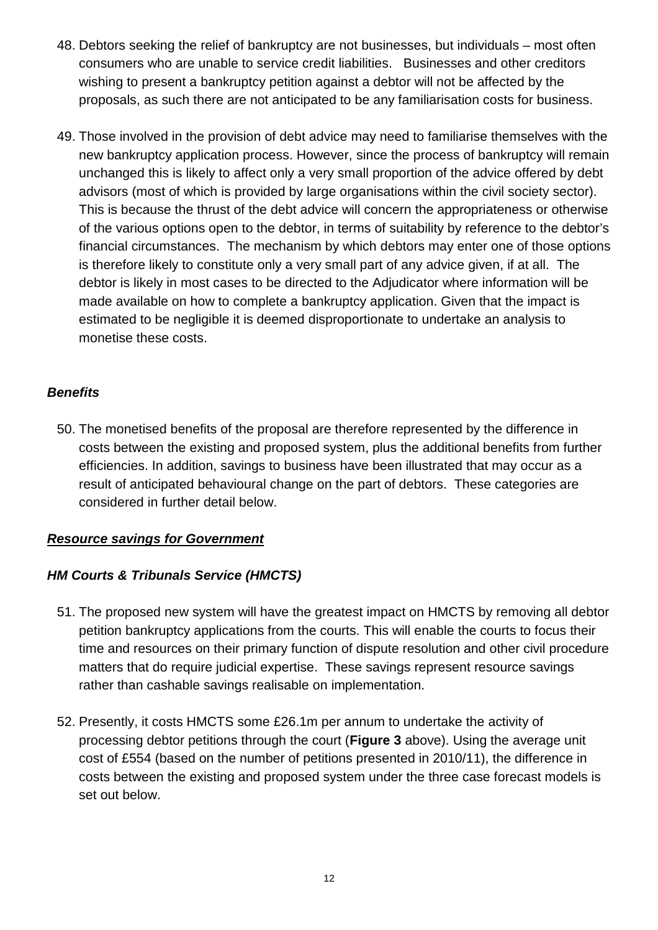- 48. Debtors seeking the relief of bankruptcy are not businesses, but individuals most often consumers who are unable to service credit liabilities. Businesses and other creditors wishing to present a bankruptcy petition against a debtor will not be affected by the proposals, as such there are not anticipated to be any familiarisation costs for business.
- 49. Those involved in the provision of debt advice may need to familiarise themselves with the new bankruptcy application process. However, since the process of bankruptcy will remain unchanged this is likely to affect only a very small proportion of the advice offered by debt advisors (most of which is provided by large organisations within the civil society sector). This is because the thrust of the debt advice will concern the appropriateness or otherwise of the various options open to the debtor, in terms of suitability by reference to the debtor's financial circumstances. The mechanism by which debtors may enter one of those options is therefore likely to constitute only a very small part of any advice given, if at all. The debtor is likely in most cases to be directed to the Adjudicator where information will be made available on how to complete a bankruptcy application. Given that the impact is estimated to be negligible it is deemed disproportionate to undertake an analysis to monetise these costs.

#### **Benefits**

50. The monetised benefits of the proposal are therefore represented by the difference in costs between the existing and proposed system, plus the additional benefits from further efficiencies. In addition, savings to business have been illustrated that may occur as a result of anticipated behavioural change on the part of debtors. These categories are considered in further detail below.

# **Resource savings for Government**

# **HM Courts & Tribunals Service (HMCTS)**

- 51. The proposed new system will have the greatest impact on HMCTS by removing all debtor petition bankruptcy applications from the courts. This will enable the courts to focus their time and resources on their primary function of dispute resolution and other civil procedure matters that do require judicial expertise. These savings represent resource savings rather than cashable savings realisable on implementation.
- 52. Presently, it costs HMCTS some £26.1m per annum to undertake the activity of processing debtor petitions through the court (**Figure 3** above). Using the average unit cost of £554 (based on the number of petitions presented in 2010/11), the difference in costs between the existing and proposed system under the three case forecast models is set out below.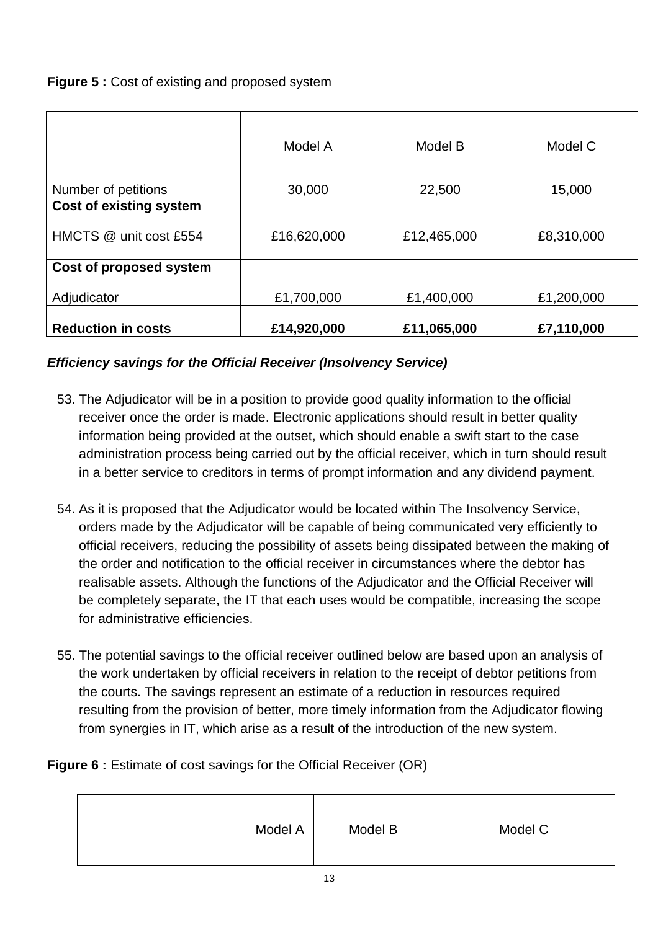# **Figure 5: Cost of existing and proposed system**

|                                                          | Model A     | Model B     | Model C    |
|----------------------------------------------------------|-------------|-------------|------------|
| Number of petitions                                      | 30,000      | 22,500      | 15,000     |
| <b>Cost of existing system</b><br>HMCTS @ unit cost £554 | £16,620,000 | £12,465,000 | £8,310,000 |
| Cost of proposed system                                  |             |             |            |
| Adjudicator                                              | £1,700,000  | £1,400,000  | £1,200,000 |
| <b>Reduction in costs</b>                                | £14,920,000 | £11,065,000 | £7,110,000 |

# **Efficiency savings for the Official Receiver (Insolvency Service)**

- 53. The Adjudicator will be in a position to provide good quality information to the official receiver once the order is made. Electronic applications should result in better quality information being provided at the outset, which should enable a swift start to the case administration process being carried out by the official receiver, which in turn should result in a better service to creditors in terms of prompt information and any dividend payment.
- 54. As it is proposed that the Adjudicator would be located within The Insolvency Service, orders made by the Adjudicator will be capable of being communicated very efficiently to official receivers, reducing the possibility of assets being dissipated between the making of the order and notification to the official receiver in circumstances where the debtor has realisable assets. Although the functions of the Adjudicator and the Official Receiver will be completely separate, the IT that each uses would be compatible, increasing the scope for administrative efficiencies.
- 55. The potential savings to the official receiver outlined below are based upon an analysis of the work undertaken by official receivers in relation to the receipt of debtor petitions from the courts. The savings represent an estimate of a reduction in resources required resulting from the provision of better, more timely information from the Adjudicator flowing from synergies in IT, which arise as a result of the introduction of the new system.

# **Figure 6 :** Estimate of cost savings for the Official Receiver (OR)

|  | Model A | Model B | Model C |
|--|---------|---------|---------|
|--|---------|---------|---------|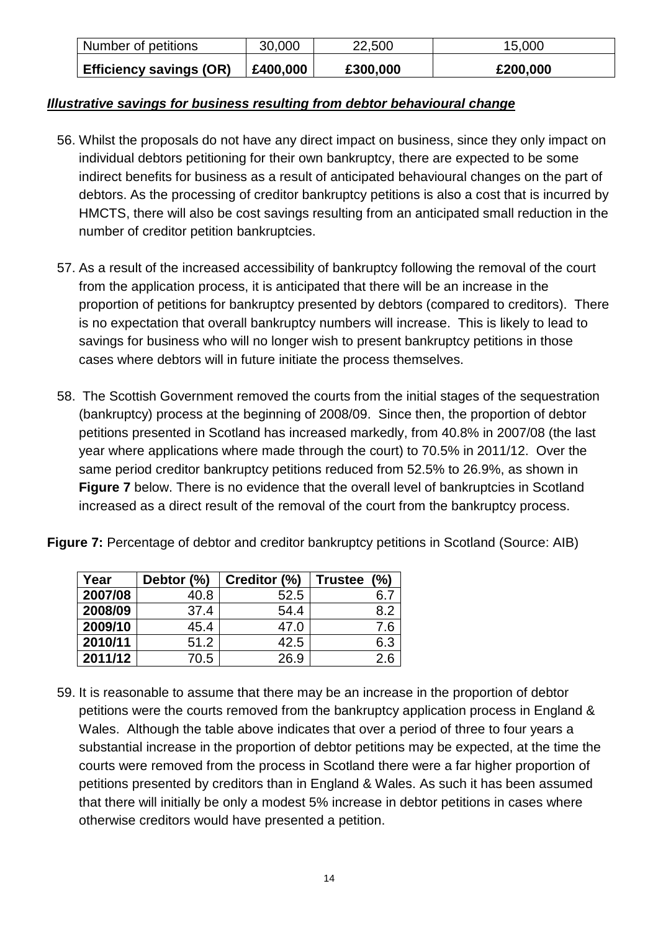| Number of petitions            | 30,000   | 22,500   | 15,000   |
|--------------------------------|----------|----------|----------|
| <b>Efficiency savings (OR)</b> | £400,000 | £300,000 | £200,000 |

#### **Illustrative savings for business resulting from debtor behavioural change**

- 56. Whilst the proposals do not have any direct impact on business, since they only impact on individual debtors petitioning for their own bankruptcy, there are expected to be some indirect benefits for business as a result of anticipated behavioural changes on the part of debtors. As the processing of creditor bankruptcy petitions is also a cost that is incurred by HMCTS, there will also be cost savings resulting from an anticipated small reduction in the number of creditor petition bankruptcies.
- 57. As a result of the increased accessibility of bankruptcy following the removal of the court from the application process, it is anticipated that there will be an increase in the proportion of petitions for bankruptcy presented by debtors (compared to creditors). There is no expectation that overall bankruptcy numbers will increase. This is likely to lead to savings for business who will no longer wish to present bankruptcy petitions in those cases where debtors will in future initiate the process themselves.
- 58. The Scottish Government removed the courts from the initial stages of the sequestration (bankruptcy) process at the beginning of 2008/09. Since then, the proportion of debtor petitions presented in Scotland has increased markedly, from 40.8% in 2007/08 (the last year where applications where made through the court) to 70.5% in 2011/12. Over the same period creditor bankruptcy petitions reduced from 52.5% to 26.9%, as shown in **Figure 7** below. There is no evidence that the overall level of bankruptcies in Scotland increased as a direct result of the removal of the court from the bankruptcy process.

|  |  |  | Figure 7: Percentage of debtor and creditor bankruptcy petitions in Scotland (Source: AIB) |  |  |
|--|--|--|--------------------------------------------------------------------------------------------|--|--|
|--|--|--|--------------------------------------------------------------------------------------------|--|--|

| Year    | Debtor (%) | Creditor (%) | (%)<br><b>Trustee</b> |
|---------|------------|--------------|-----------------------|
| 2007/08 | 40.8       | 52.5         |                       |
| 2008/09 | 37.4       | 54.4         | 8.2                   |
| 2009/10 | 45.4       | 47.0         | 7.6                   |
| 2010/11 | 51.2       | 42.5         | 6.3                   |
| 2011/12 | 70.5       | 26.9         | 2.6                   |

59. It is reasonable to assume that there may be an increase in the proportion of debtor petitions were the courts re moved from the bankruptcy application process in England & Wales. Although the table above indicates that over a period of three to four years a substantial increase in the proportion of debtor petitions may be expected, at the time the courts were removed from the process in Scotland there were a far higher proportion of petitions presented by creditors than in England & Wales. As such it has been assumed that there will initially be only a modest 5% increase in debtor petitions in cases where otherwise creditors would have presented a petition.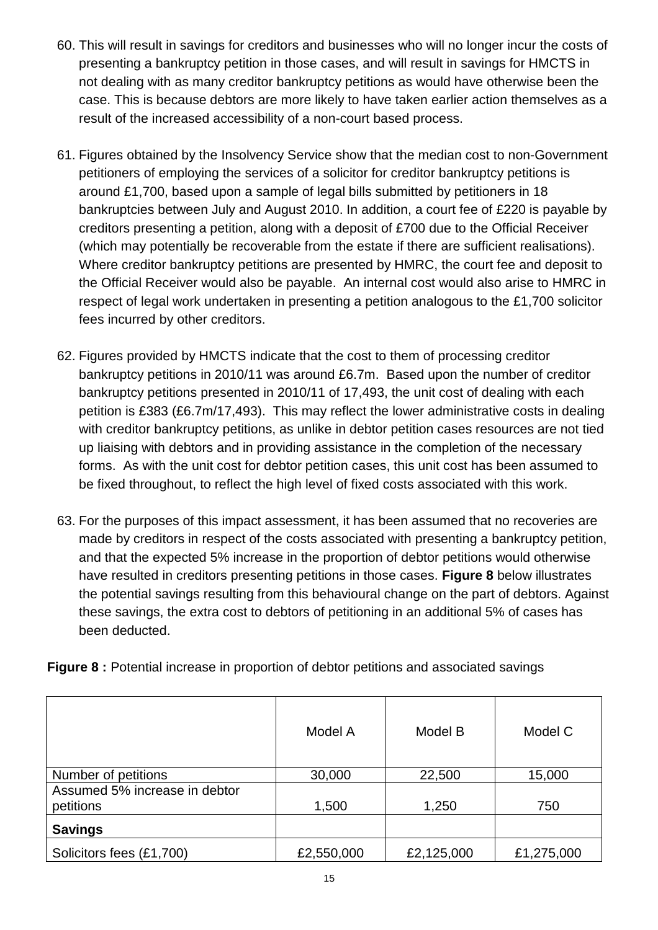- 60. This will result in savings for creditors and businesses who will no longer incur the costs of presenting a bankruptcy petition in those cases, and will result in savings for HMCTS in not dealing with as many creditor bankruptcy petitions as would have otherwise been the case. This is because debtors are more likely to have taken earlier action themselves as a result of the increased accessibility of a non-court based process.
- 61. Figures obtained by the Insolvency Service show that the median cost to non-Government petitioners of employing the services of a solicitor for creditor bankruptcy petitions is around £1,700, based upon a sample of legal bills submitted by petitioners in 18 bankruptcies between July and August 2010. In addition, a court fee of £220 is payable by creditors presenting a petition, along with a deposit of £700 due to the Official Receiver (which may potentially be recoverable from the estate if there are sufficient realisations). Where creditor bankruptcy petitions are presented by HMRC, the court fee and deposit to the Official Receiver would also be payable. An internal cost would also arise to HMRC in respect of legal work undertaken in presenting a petition analogous to the £1,700 solicitor fees incurred by other creditors.
- 62. Figures provided by HMCTS indicate that the cost to them of processing creditor bankruptcy petitions in 2010/11 was around £6.7m. Based upon the number of creditor bankruptcy petitions presented in 2010/11 of 17,493, the unit cost of dealing with each petition is £383 (£6.7m/17,493). This may reflect the lower administrative costs in dealing with creditor bankruptcy petitions, as unlike in debtor petition cases resources are not tied up liaising with debtors and in providing assistance in the completion of the necessary forms. As with the unit cost for debtor petition cases, this unit cost has been assumed to be fixed throughout, to reflect the high level of fixed costs associated with this work.
- 63. For the purposes of this impact assessment, it has been assumed that no recoveries are made by creditors in respect of the costs associated with presenting a bankruptcy petition, and that the expected 5% increase in the proportion of debtor petitions would otherwise have resulted in creditors presenting petitions in those cases. **Figure 8** below illustrates the potential savings resulting from this behavioural change on the part of debtors. Against these savings, the extra cost to debtors of petitioning in an additional 5% of cases has been deducted.

**Figure 8 :** Potential increase in proportion of debtor petitions and associated savings

|                                            | Model A    | Model B    | Model C    |
|--------------------------------------------|------------|------------|------------|
| Number of petitions                        | 30,000     | 22,500     | 15,000     |
| Assumed 5% increase in debtor<br>petitions | 1,500      | 1,250      | 750        |
| <b>Savings</b>                             |            |            |            |
| Solicitors fees (£1,700)                   | £2,550,000 | £2,125,000 | £1,275,000 |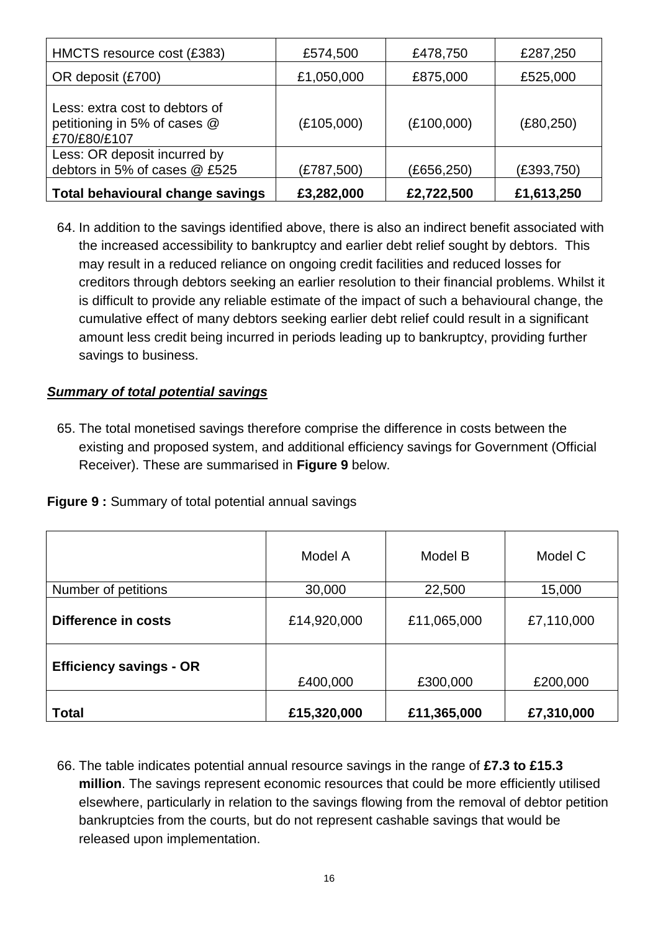| HMCTS resource cost (£383)                                                     | £574,500   | £478,750   | £287,250   |
|--------------------------------------------------------------------------------|------------|------------|------------|
| OR deposit (£700)                                                              | £1,050,000 | £875,000   | £525,000   |
| Less: extra cost to debtors of<br>petitioning in 5% of cases @<br>£70/£80/£107 | (E105,000) | (E100,000) | (E80, 250) |
| Less: OR deposit incurred by<br>debtors in 5% of cases @ £525                  | (£787,500) | (£656,250) | (E393,750) |
| <b>Total behavioural change savings</b>                                        | £3,282,000 | £2,722,500 | £1,613,250 |

64. In addition to the savings identified above, there is also an indirect benefit associated with the increased accessibility to bankruptcy and earlier debt relief sought by debtors. This may result in a reduced reliance on ongoing credit facilities and reduced losses for creditors through debtors seeking an earlier resolution to their financial problems. Whilst it is difficult to provide any reliable estimate of the impact of such a behavioural change, the cumulative effect of many debtors seeking earlier debt relief could result in a significant amount less credit being incurred in periods leading up to bankruptcy, providing further savings to business.

#### **Summary of total potential savings**

65. The total monetised savings therefore comprise the difference in costs between the existing and proposed system, and additional efficiency savings for Government (Official Receiver). These are summarised in **Figure 9** below.

|  | Figure 9 : Summary of total potential annual savings |  |  |  |  |
|--|------------------------------------------------------|--|--|--|--|
|--|------------------------------------------------------|--|--|--|--|

|                                | Model A     | Model B     | Model C    |
|--------------------------------|-------------|-------------|------------|
| Number of petitions            | 30,000      | 22,500      | 15,000     |
| Difference in costs            | £14,920,000 | £11,065,000 | £7,110,000 |
| <b>Efficiency savings - OR</b> | £400,000    | £300,000    | £200,000   |
| <b>Total</b>                   | £15,320,000 | £11,365,000 | £7,310,000 |

66. The table indicates potential annual resource savings in the range of **£7.3 to £15.3 million**. The savings represent economic resources that could be more efficiently utilised elsewhere, particularly in relation to the savings flowing from the removal of debtor petition bankruptcies from the courts, but do not represent cashable savings that would be released upon implementation.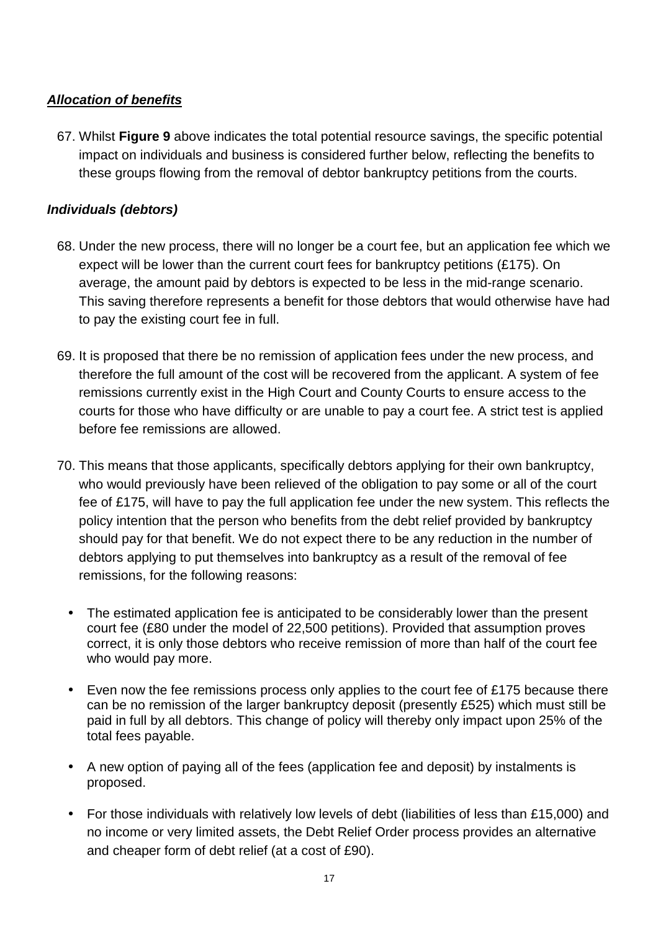# **Allocation of benefits**

67. Whilst **Figure 9** above indicates the total potential resource savings, the specific potential impact on individuals and business is considered further below, reflecting the benefits to these groups flowing from the removal of debtor bankruptcy petitions from the courts.

#### **Individuals (debtors)**

- 68. Under the new process, there will no longer be a court fee, but an application fee which we expect will be lower than the current court fees for bankruptcy petitions (£175). On average, the amount paid by debtors is expected to be less in the mid-range scenario. This saving therefore represents a benefit for those debtors that would otherwise have had to pay the existing court fee in full.
- 69. It is proposed that there be no remission of application fees under the new process, and therefore the full amount of the cost will be recovered from the applicant. A system of fee remissions currently exist in the High Court and County Courts to ensure access to the courts for those who have difficulty or are unable to pay a court fee. A strict test is applied before fee remissions are allowed.
- 70. This means that those applicants, specifically debtors applying for their own bankruptcy, who would previously have been relieved of the obligation to pay some or all of the court fee of £175, will have to pay the full application fee under the new system. This reflects the policy intention that the person who benefits from the debt relief provided by bankruptcy should pay for that benefit. We do not expect there to be any reduction in the number of debtors applying to put themselves into bankruptcy as a result of the removal of fee remissions, for the following reasons:
	- The estimated application fee is anticipated to be considerably lower than the present court fee (£80 under the model of 22,500 petitions). Provided that assumption proves correct, it is only those debtors who receive remission of more than half of the court fee who would pay more.
	- Even now the fee remissions process only applies to the court fee of £175 because there can be no remission of the larger bankruptcy deposit (presently £525) which must still be paid in full by all debtors. This change of policy will thereby only impact upon 25% of the total fees payable.
	- A new option of paying all of the fees (application fee and deposit) by instalments is proposed.
	- For those individuals with relatively low levels of debt (liabilities of less than £15,000) and no income or very limited assets, the Debt Relief Order process provides an alternative and cheaper form of debt relief (at a cost of £90).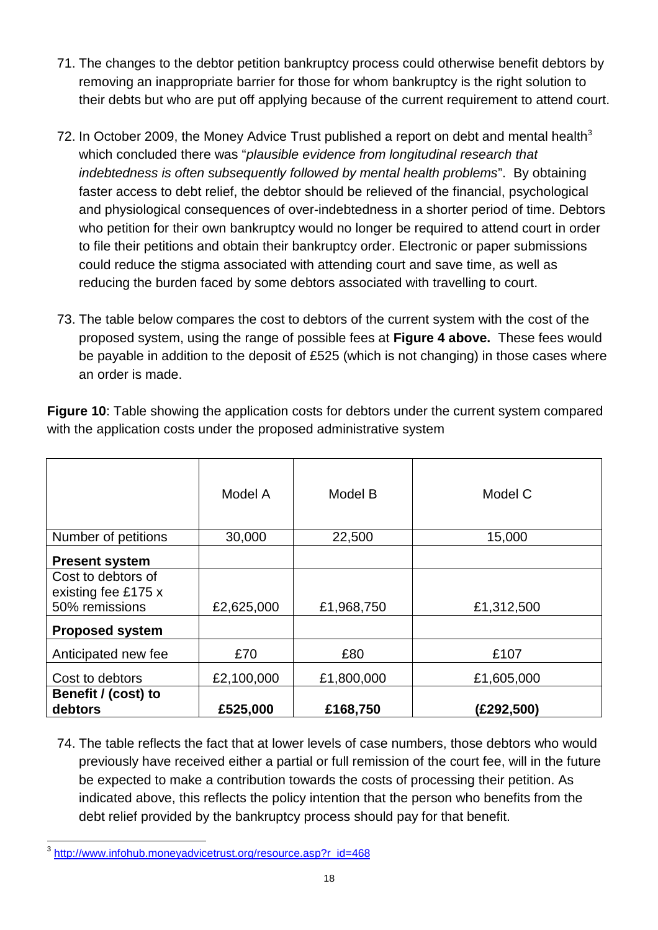- 71. The changes to the debtor petition bankruptcy process could otherwise benefit debtors by removing an inappropriate barrier for those for whom bankruptcy is the right solution to their debts but who are put off applying because of the current requirement to attend court.
- 72. In October 2009, the Money Advice Trust published a report on debt and mental health<sup>3</sup> which concluded there was "plausible evidence from longitudinal research that indebtedness is often subsequently followed by mental health problems". By obtaining faster access to debt relief, the debtor should be relieved of the financial, psychological and physiological consequences of over-indebtedness in a shorter period of time. Debtors who petition for their own bankruptcy would no longer be required to attend court in order to file their petitions and obtain their bankruptcy order. Electronic or paper submissions could reduce the stigma associated with attending court and save time, as well as reducing the burden faced by some debtors associated with travelling to court.
- 73. The table below compares the cost to debtors of the current system with the cost of the proposed system, using the range of possible fees at **Figure 4 above.** These fees would be payable in addition to the deposit of £525 (which is not changing) in those cases where an order is made.

|                                                             | Model A    | Model B    | Model C    |
|-------------------------------------------------------------|------------|------------|------------|
| Number of petitions                                         | 30,000     | 22,500     | 15,000     |
| <b>Present system</b>                                       |            |            |            |
| Cost to debtors of<br>existing fee £175 x<br>50% remissions | £2,625,000 | £1,968,750 | £1,312,500 |
| <b>Proposed system</b>                                      |            |            |            |
| Anticipated new fee                                         | £70        | £80        | £107       |
| Cost to debtors                                             | £2,100,000 | £1,800,000 | £1,605,000 |
| Benefit / (cost) to<br>debtors                              | £525,000   | £168,750   | (£292,500) |

**Figure 10**: Table showing the application costs for debtors under the current system compared with the application costs under the proposed administrative system

74. The table reflects the fact that at lower levels of case numbers, those debtors who would previously have received either a partial or full remission of the court fee, will in the future be expected to make a contribution towards the costs of processing their petition. As indicated above, this reflects the policy intention that the person who benefits from the debt relief provided by the bankruptcy process should pay for that benefit.

 3 http://www.infohub.moneyadvicetrust.org/resource.asp?r\_id=468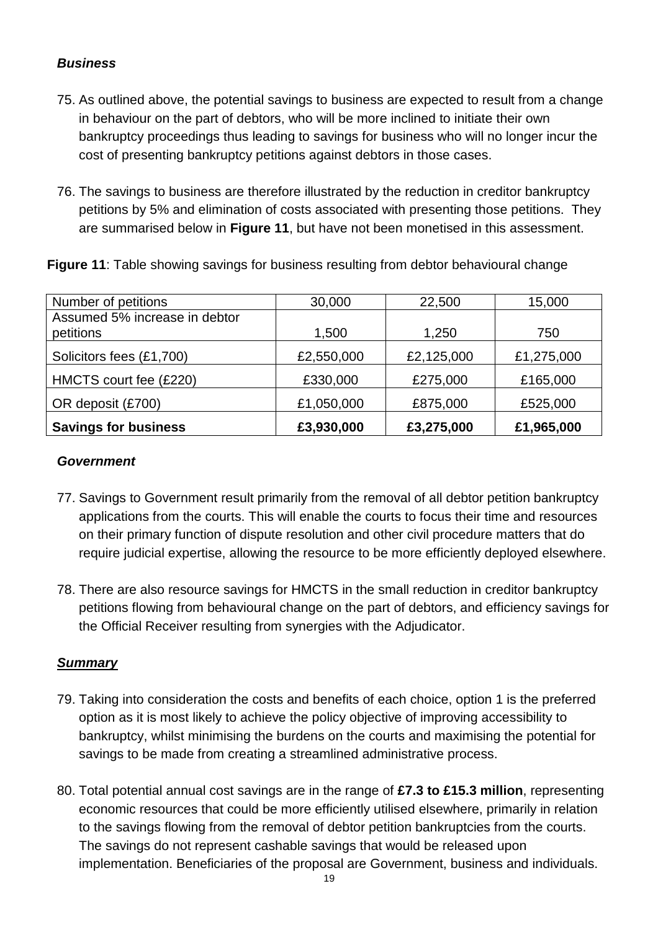#### **Business**

- 75. As outlined above, the potential savings to business are expected to result from a change in behaviour on the part of debtors, who will be more inclined to initiate their own bankruptcy proceedings thus leading to savings for business who will no longer incur the cost of presenting bankruptcy petitions against debtors in those cases.
- petitions by 5% and elimination of costs associated with presenting those petitions. They 76. The savings to business are therefore illustrated by the reduction in creditor bankruptcy are summarised below in **Figure 11**, but have not been monetised in this assessment.

**Figure 11**: Table showing savings for business resulting from debtor behavioural change

| Number of petitions           | 30,000     | 22,500     | 15,000     |
|-------------------------------|------------|------------|------------|
| Assumed 5% increase in debtor |            |            |            |
| petitions                     | 1,500      | 1,250      | 750        |
| Solicitors fees (£1,700)      | £2,550,000 | £2,125,000 | £1,275,000 |
| HMCTS court fee (£220)        | £330,000   | £275,000   | £165,000   |
| OR deposit (£700)             | £1,050,000 | £875,000   | £525,000   |
| <b>Savings for business</b>   | £3,930,000 | £3,275,000 | £1,965,000 |

#### **Government**

- 77. Savings to Government result primarily from the removal of all debtor petition bankruptcy applications from the courts. This will enable the courts to focus their time and resources on their primary function of dispute resolution and other civil procedure matters that do require judicial expertise, allowing the resource to be more efficiently deployed elsewhere.
- 78. There are also resource savings for HMCTS in the small reduction in creditor bankruptcy petitions flowing from behavioural change on the part of debtors, and efficiency savings for the Official Receiver resulting from synergies with the Adjudicator.

#### **Summary**

- 79. Taking into consideration the costs and benefits of each choice, option 1 is the preferred option as it is most likely to achieve the policy objective of improving accessibility to bankruptcy, whilst minimising the burdens on the courts and maximising the potential for savings to be made from creating a streamlined administrative process.
- 80. Total potential annual cost savings are in the range of **£7.3 to £15.3 million**, representing economic resources that could be more efficiently utilised elsewhere, primarily in relation to the savings flowing from the removal of debtor petition bankruptcies from the courts. The savings do not represent cashable savings that would be released upon implementation. Beneficiaries of the proposal are Government, business and individuals.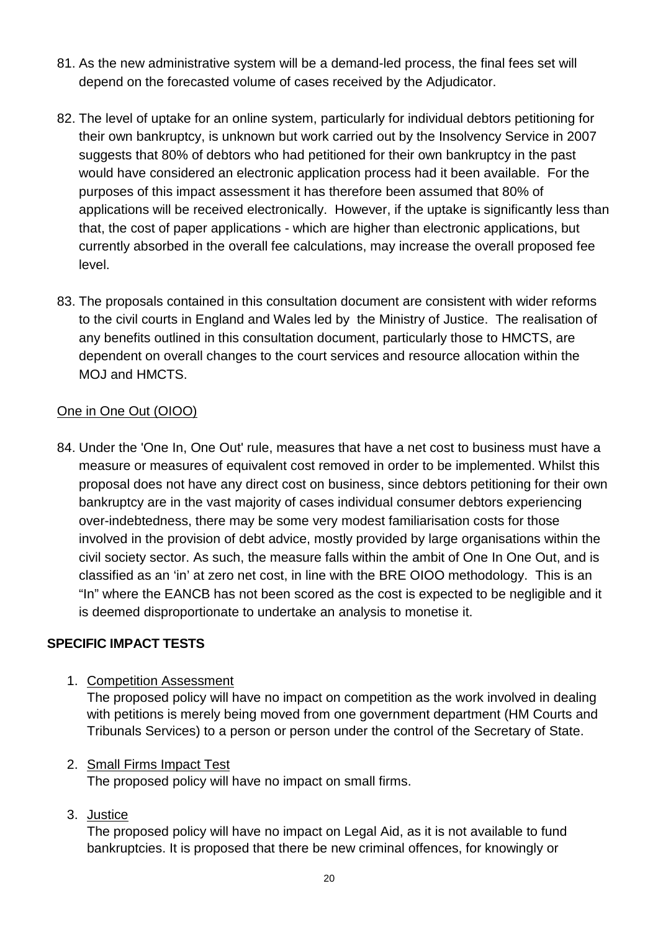- 81. As the new administrative system will be a demand-led process, the final fees set will depend on the forecasted volume of cases received by the Adjudicator.
- 82. The level of uptake for an online system, particularly for individual debtors petitioning for their own bankruptcy, is unknown but work carried out by the Insolvency Service in 2007 suggests that 80% of debtors who had petitioned for their own bankruptcy in the past would have considered an electronic application process had it been available. For the purposes of this impact assessment it has therefore been assumed that 80% of applications will be received electronically. However, if the uptake is significantly less than that, the cost of paper applications - which are higher than electronic applications, but currently absorbed in the overall fee calculations, may increase the overall proposed fee level.
- 83. The proposals contained in this consultation document are consistent with wider reforms to the civil courts in England and Wales led by the Ministry of Justice. The realisation of any benefits outlined in this consultation document, particularly those to HMCTS, are dependent on overall changes to the court services and resource allocation within the MOJ and HMCTS.

#### One in One Out (OIOO)

84. Under the 'One In, One Out' rule, measures that have a net cost to business must have a measure or measures of equivalent cost removed in order to be implemented. Whilst this proposal does not have any direct cost on business, since debtors petitioning for their own bankruptcy are in the vast majority of cases individual consumer debtors experiencing over-indebtedness, there may be some very modest familiarisation costs for those involved in the provision of debt advice, mostly provided by large organisations within the civil society sector. As such, the measure falls within the ambit of One In One Out, and is classified as an 'in' at zero net cost, in line with the BRE OIOO methodology. This is an "In" where the EANCB has not been scored as the cost is expected to be negligible and it is deemed disproportionate to undertake an analysis to monetise it.

#### **SPECIFIC IMPACT TESTS**

1. Competition Assessment

The proposed policy will have no impact on competition as the work involved in dealing with petitions is merely being moved from one government department (HM Courts and Tribunals Services) to a person or person under the control of the Secretary of State.

#### 2. Small Firms Impact Test

The proposed policy will have no impact on small firms.

3. Justice

The proposed policy will have no impact on Legal Aid, as it is not available to fund bankruptcies. It is proposed that there be new criminal offences, for knowingly or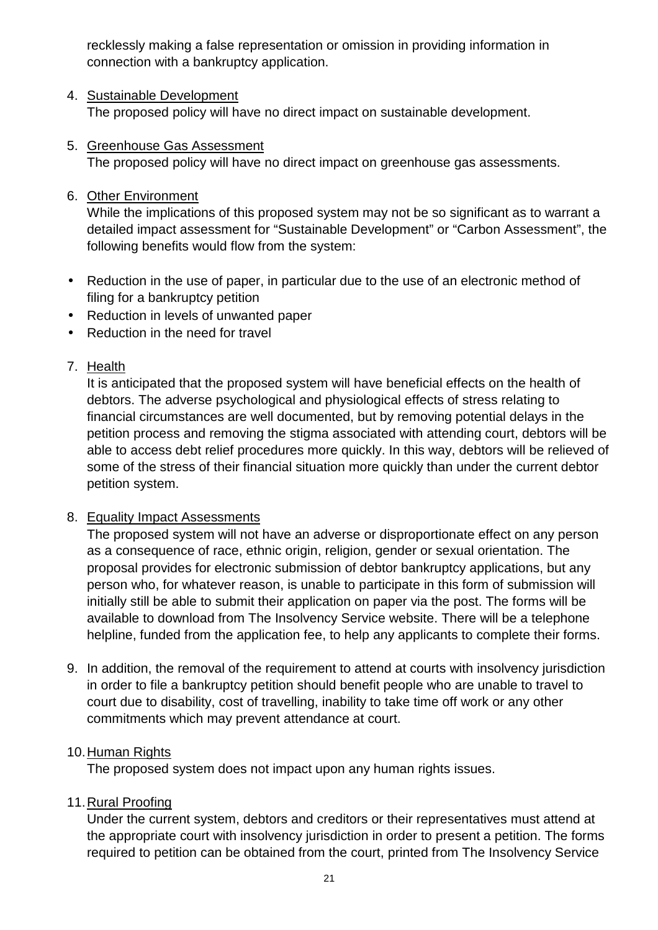recklessly making a false representation or omission in providing information in connection with a bankruptcy application.

#### 4. Sustainable Development

The proposed policy will have no direct impact on sustainable development.

#### 5. Greenhouse Gas Assessment

The proposed policy will have no direct impact on greenhouse gas assessments.

#### 6. Other Environment

While the implications of this proposed system may not be so significant as to warrant a detailed impact assessment for "Sustainable Development" or "Carbon Assessment", the following benefits would flow from the system:

- Reduction in the use of paper, in particular due to the use of an electronic method of filing for a bankruptcy petition
- Reduction in levels of unwanted paper
- Reduction in the need for travel

#### 7. Health

It is anticipated that the proposed system will have beneficial effects on the health of debtors. The adverse psychological and physiological effects of stress relating to financial circumstances are well documented, but by removing potential delays in the petition process and removing the stigma associated with attending court, debtors will be able to access debt relief procedures more quickly. In this way, debtors will be relieved of some of the stress of their financial situation more quickly than under the current debtor petition system.

#### 8. Equality Impact Assessments

The proposed system will not have an adverse or disproportionate effect on any person as a consequence of race, ethnic origin, religion, gender or sexual orientation. The proposal provides for electronic submission of debtor bankruptcy applications, but any person who, for whatever reason, is unable to participate in this form of submission will initially still be able to submit their application on paper via the post. The forms will be available to download from The Insolvency Service website. There will be a telephone helpline, funded from the application fee, to help any applicants to complete their forms.

9. In addition, the removal of the requirement to attend at courts with insolvency jurisdiction in order to file a bankruptcy petition should benefit people who are unable to travel to court due to disability, cost of travelling, inability to take time off work or any other commitments which may prevent attendance at court.

#### 10. Human Rights

The proposed system does not impact upon any human rights issues.

#### 11. Rural Proofing

Under the current system, debtors and creditors or their representatives must attend at the appropriate court with insolvency jurisdiction in order to present a petition. The forms required to petition can be obtained from the court, printed from The Insolvency Service